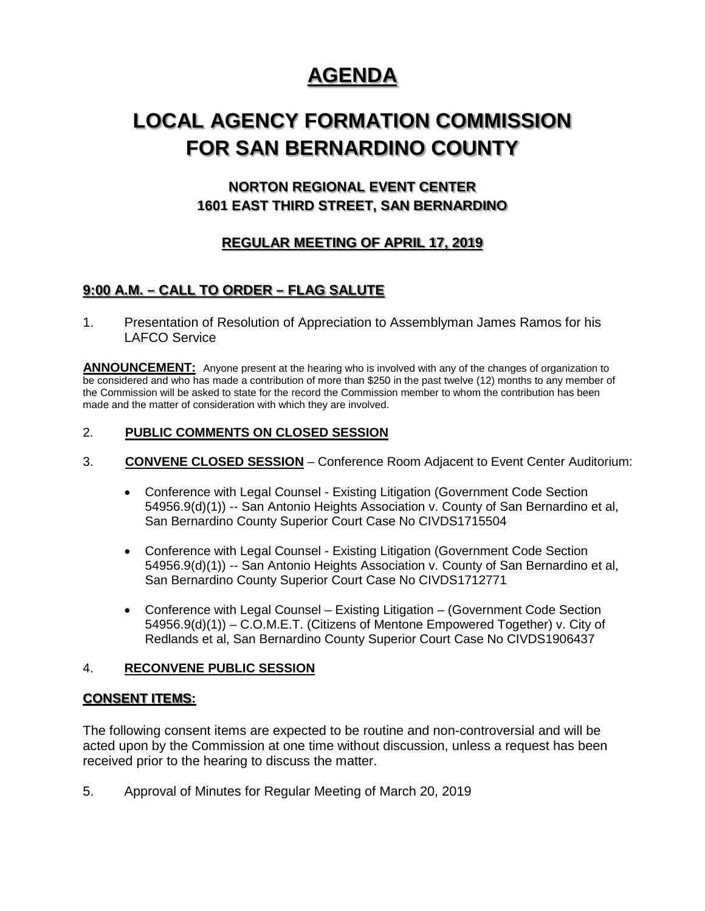# **AGENDA**

# **LOCAL AGENCY FORMATION COMMISSION FOR SAN BERNARDINO COUNTY**

## **NORTON REGIONAL EVENT CENTER 1601 EAST THIRD STREET, SAN BERNARDINO**

## **REGULAR MEETING OF APRIL 17, 2019**

## **9:00 A.M. – CALL TO ORDER – FLAG SALUTE**

1. Presentation of Resolution of Appreciation to Assemblyman James Ramos for his LAFCO Service

**ANNOUNCEMENT:** Anyone present at the hearing who is involved with any of the changes of organization to be considered and who has made a contribution of more than \$250 in the past twelve (12) months to any member of the Commission will be asked to state for the record the Commission member to whom the contribution has been made and the matter of consideration with which they are involved.

### 2. **PUBLIC COMMENTS ON CLOSED SESSION**

- 3. **CONVENE CLOSED SESSION** Conference Room Adjacent to Event Center Auditorium:
	- Conference with Legal Counsel Existing Litigation (Government Code Section 54956.9(d)(1)) -- San Antonio Heights Association v. County of San Bernardino et al, San Bernardino County Superior Court Case No CIVDS1715504
	- Conference with Legal Counsel Existing Litigation (Government Code Section 54956.9(d)(1)) -- San Antonio Heights Association v. County of San Bernardino et al, San Bernardino County Superior Court Case No CIVDS1712771
	- Conference with Legal Counsel Existing Litigation (Government Code Section 54956.9(d)(1)) – C.O.M.E.T. (Citizens of Mentone Empowered Together) v. City of Redlands et al, San Bernardino County Superior Court Case No CIVDS1906437

#### 4. **RECONVENE PUBLIC SESSION**

#### **CONSENT ITEMS:**

The following consent items are expected to be routine and non-controversial and will be acted upon by the Commission at one time without discussion, unless a request has been received prior to the hearing to discuss the matter.

5. Approval of Minutes for Regular Meeting of March 20, 2019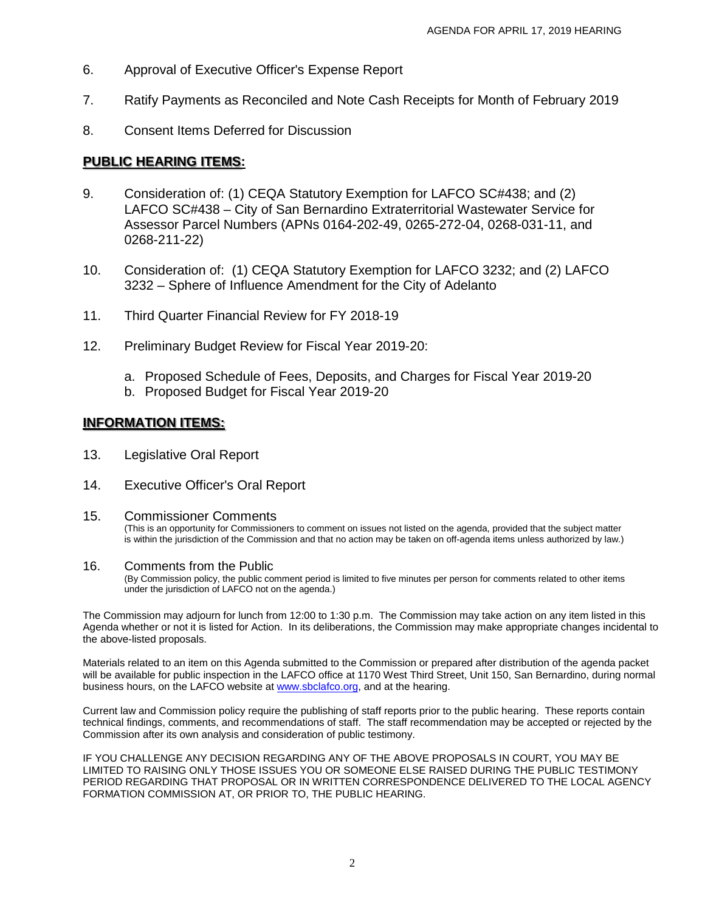- 6. Approval of Executive Officer's Expense Report
- 7. Ratify Payments as Reconciled and Note Cash Receipts for Month of February 2019
- 8. Consent Items Deferred for Discussion

### **PUBLIC HEARING ITEMS:**

- 9. Consideration of: (1) CEQA Statutory Exemption for LAFCO SC#438; and (2) LAFCO SC#438 – City of San Bernardino Extraterritorial Wastewater Service for Assessor Parcel Numbers (APNs 0164-202-49, 0265-272-04, 0268-031-11, and 0268-211-22)
- 10. Consideration of: (1) CEQA Statutory Exemption for LAFCO 3232; and (2) LAFCO 3232 – Sphere of Influence Amendment for the City of Adelanto
- 11. Third Quarter Financial Review for FY 2018-19
- 12. Preliminary Budget Review for Fiscal Year 2019-20:
	- a. Proposed Schedule of Fees, Deposits, and Charges for Fiscal Year 2019-20
	- b. Proposed Budget for Fiscal Year 2019-20

## **INFORMATION ITEMS:**

- 13. Legislative Oral Report
- 14. Executive Officer's Oral Report

#### 15. Commissioner Comments

(This is an opportunity for Commissioners to comment on issues not listed on the agenda, provided that the subject matter is within the jurisdiction of the Commission and that no action may be taken on off-agenda items unless authorized by law.)

#### 16. Comments from the Public

(By Commission policy, the public comment period is limited to five minutes per person for comments related to other items under the jurisdiction of LAFCO not on the agenda.)

The Commission may adjourn for lunch from 12:00 to 1:30 p.m. The Commission may take action on any item listed in this Agenda whether or not it is listed for Action. In its deliberations, the Commission may make appropriate changes incidental to the above-listed proposals.

Materials related to an item on this Agenda submitted to the Commission or prepared after distribution of the agenda packet will be available for public inspection in the LAFCO office at 1170 West Third Street, Unit 150, San Bernardino, during normal business hours, on the LAFCO website a[t www.sbclafco.org,](http://www.sbclafco.org/) and at the hearing.

Current law and Commission policy require the publishing of staff reports prior to the public hearing. These reports contain technical findings, comments, and recommendations of staff. The staff recommendation may be accepted or rejected by the Commission after its own analysis and consideration of public testimony.

IF YOU CHALLENGE ANY DECISION REGARDING ANY OF THE ABOVE PROPOSALS IN COURT, YOU MAY BE LIMITED TO RAISING ONLY THOSE ISSUES YOU OR SOMEONE ELSE RAISED DURING THE PUBLIC TESTIMONY PERIOD REGARDING THAT PROPOSAL OR IN WRITTEN CORRESPONDENCE DELIVERED TO THE LOCAL AGENCY FORMATION COMMISSION AT, OR PRIOR TO, THE PUBLIC HEARING.